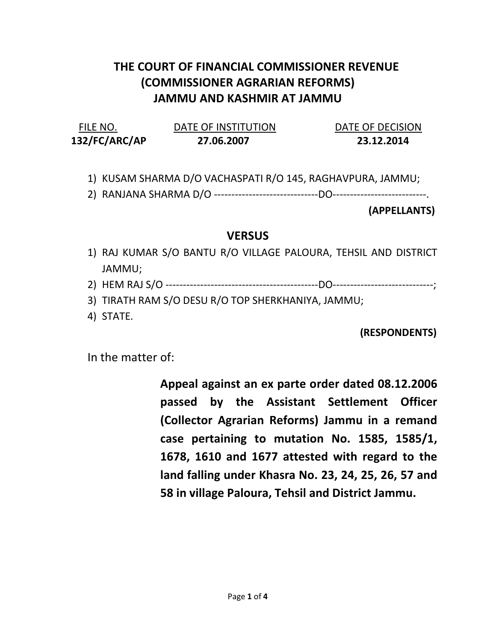## THE COURT OF FINANCIAL COMMISSIONER REVENUE (COMMISSIONER AGRARIAN REFORMS) JAMMU AND KASHMIR AT JAMMU

| FILE NO.      | DATE OF INSTITUTION | DATE OF DECISION |
|---------------|---------------------|------------------|
| 132/FC/ARC/AP | 27.06.2007          | 23.12.2014       |

1) KUSAM SHARMA D/O VACHASPATI R/O 145, RAGHAVPURA, JAMMU;

2) RANJANA SHARMA D/O ------------------------------DO---------------------------.

(APPELLANTS)

## **VERSUS**

- 1) RAJ KUMAR S/O BANTU R/O VILLAGE PALOURA, TEHSIL AND DISTRICT JAMMU;
- 2) HEM RAJ S/O --------------------------------------------DO-----------------------------;
- 3) TIRATH RAM S/O DESU R/O TOP SHERKHANIYA, JAMMU;
- 4) STATE.

(RESPONDENTS)

In the matter of:

Appeal against an ex parte order dated 08.12.2006 passed by the Assistant Settlement Officer (Collector Agrarian Reforms) Jammu in a remand case pertaining to mutation No. 1585, 1585/1, 1678, 1610 and 1677 attested with regard to the land falling under Khasra No. 23, 24, 25, 26, 57 and 58 in village Paloura, Tehsil and District Jammu.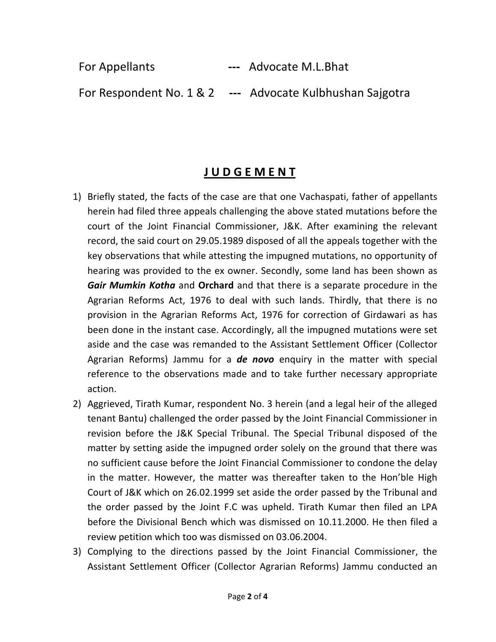For Appellants --- Advocate M.L.Bhat For Respondent No. 1 & 2 --- Advocate Kulbhushan Sajgotra

## J U D G E M E N T

- 1) Briefly stated, the facts of the case are that one Vachaspati, father of appellants herein had filed three appeals challenging the above stated mutations before the court of the Joint Financial Commissioner, J&K. After examining the relevant record, the said court on 29.05.1989 disposed of all the appeals together with the key observations that while attesting the impugned mutations, no opportunity of hearing was provided to the ex owner. Secondly, some land has been shown as Gair Mumkin Kotha and Orchard and that there is a separate procedure in the Agrarian Reforms Act, 1976 to deal with such lands. Thirdly, that there is no provision in the Agrarian Reforms Act, 1976 for correction of Girdawari as has been done in the instant case. Accordingly, all the impugned mutations were set aside and the case was remanded to the Assistant Settlement Officer (Collector Agrarian Reforms) Jammu for a **de novo** enquiry in the matter with special reference to the observations made and to take further necessary appropriate action.
- 2) Aggrieved, Tirath Kumar, respondent No. 3 herein (and a legal heir of the alleged tenant Bantu) challenged the order passed by the Joint Financial Commissioner in revision before the J&K Special Tribunal. The Special Tribunal disposed of the matter by setting aside the impugned order solely on the ground that there was no sufficient cause before the Joint Financial Commissioner to condone the delay in the matter. However, the matter was thereafter taken to the Hon'ble High Court of J&K which on 26.02.1999 set aside the order passed by the Tribunal and the order passed by the Joint F.C was upheld. Tirath Kumar then filed an LPA before the Divisional Bench which was dismissed on 10.11.2000. He then filed a review petition which too was dismissed on 03.06.2004.
- 3) Complying to the directions passed by the Joint Financial Commissioner, the Assistant Settlement Officer (Collector Agrarian Reforms) Jammu conducted an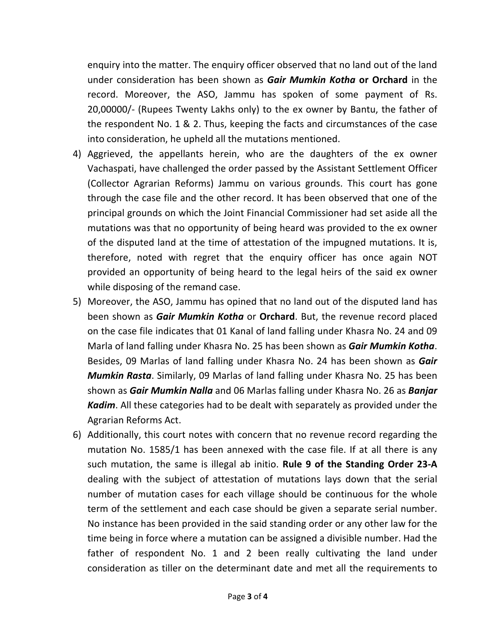enquiry into the matter. The enquiry officer observed that no land out of the land under consideration has been shown as Gair Mumkin Kotha or Orchard in the record. Moreover, the ASO, Jammu has spoken of some payment of Rs. 20,00000/- (Rupees Twenty Lakhs only) to the ex owner by Bantu, the father of the respondent No. 1 & 2. Thus, keeping the facts and circumstances of the case into consideration, he upheld all the mutations mentioned.

- 4) Aggrieved, the appellants herein, who are the daughters of the ex owner Vachaspati, have challenged the order passed by the Assistant Settlement Officer (Collector Agrarian Reforms) Jammu on various grounds. This court has gone through the case file and the other record. It has been observed that one of the principal grounds on which the Joint Financial Commissioner had set aside all the mutations was that no opportunity of being heard was provided to the ex owner of the disputed land at the time of attestation of the impugned mutations. It is, therefore, noted with regret that the enquiry officer has once again NOT provided an opportunity of being heard to the legal heirs of the said ex owner while disposing of the remand case.
- 5) Moreover, the ASO, Jammu has opined that no land out of the disputed land has been shown as Gair Mumkin Kotha or Orchard. But, the revenue record placed on the case file indicates that 01 Kanal of land falling under Khasra No. 24 and 09 Marla of land falling under Khasra No. 25 has been shown as Gair Mumkin Kotha. Besides, 09 Marlas of land falling under Khasra No. 24 has been shown as Gair Mumkin Rasta. Similarly, 09 Marlas of land falling under Khasra No. 25 has been shown as Gair Mumkin Nalla and 06 Marlas falling under Khasra No. 26 as Banjar Kadim. All these categories had to be dealt with separately as provided under the Agrarian Reforms Act.
- 6) Additionally, this court notes with concern that no revenue record regarding the mutation No. 1585/1 has been annexed with the case file. If at all there is any such mutation, the same is illegal ab initio. Rule 9 of the Standing Order 23-A dealing with the subject of attestation of mutations lays down that the serial number of mutation cases for each village should be continuous for the whole term of the settlement and each case should be given a separate serial number. No instance has been provided in the said standing order or any other law for the time being in force where a mutation can be assigned a divisible number. Had the father of respondent No. 1 and 2 been really cultivating the land under consideration as tiller on the determinant date and met all the requirements to